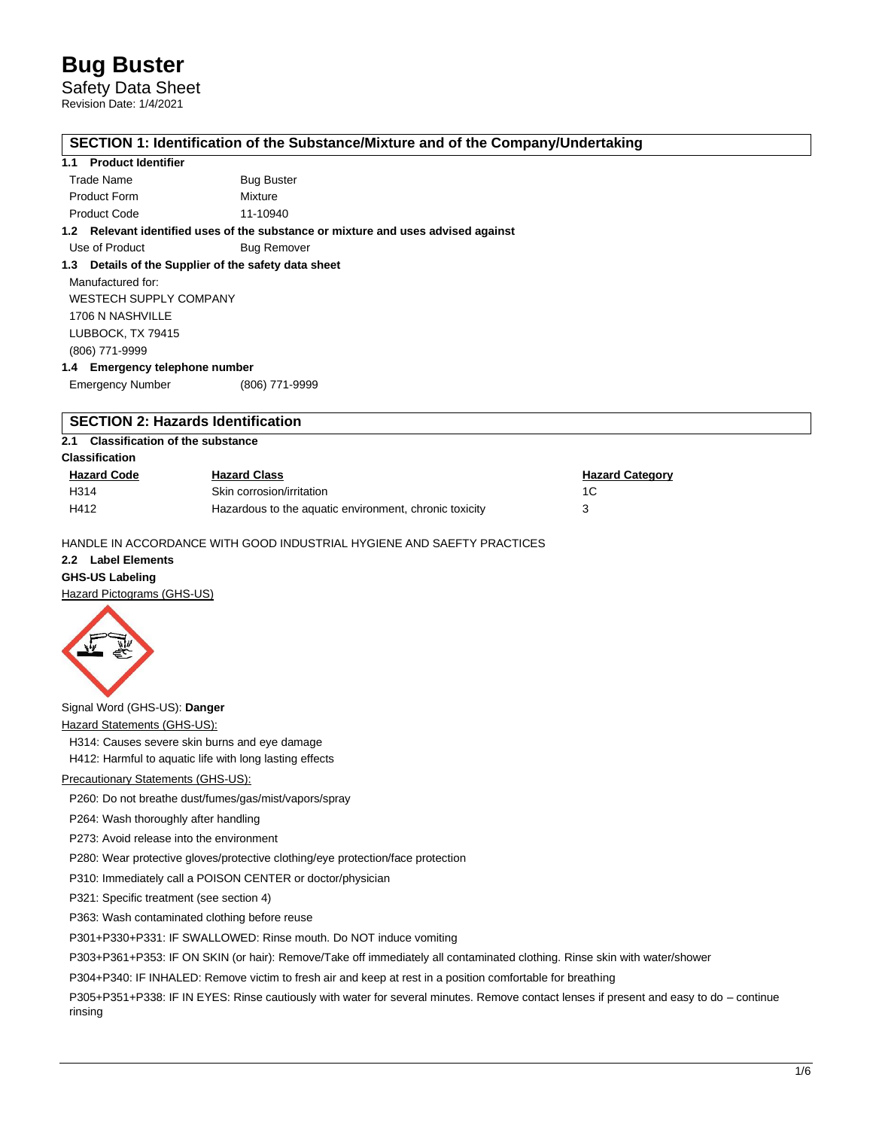Safety Data Sheet

Revision Date: 1/4/2021

## **SECTION 1: Identification of the Substance/Mixture and of the Company/Undertaking**

## **1.1 Product Identifier**

| Trade Name          | <b>Bug Buster</b> |
|---------------------|-------------------|
| <b>Product Form</b> | Mixture           |
| <b>Product Code</b> | 11-10940          |

**1.2 Relevant identified uses of the substance or mixture and uses advised against**

Use of Product Bug Remover

## **1.3 Details of the Supplier of the safety data sheet**

Manufactured for: WESTECH SUPPLY COMPANY 1706 N NASHVILLE LUBBOCK, TX 79415 (806) 771-9999

**1.4 Emergency telephone number**

Emergency Number (806) 771-9999

# **SECTION 2: Hazards Identification**

## **2.1 Classification of the substance**

**Classification**

| <b>Hazard Code</b> | <b>Hazard Class</b>                                    | <b>Hazard Category</b> |
|--------------------|--------------------------------------------------------|------------------------|
| H314               | Skin corrosion/irritation                              |                        |
| H412               | Hazardous to the aquatic environment, chronic toxicity |                        |

HANDLE IN ACCORDANCE WITH GOOD INDUSTRIAL HYGIENE AND SAEFTY PRACTICES

#### **2.2 Label Elements**

# **GHS-US Labeling**

Hazard Pictograms (GHS-US)



Signal Word (GHS-US): **Danger**

**Hazard Statements (GHS-US):** 

H314: Causes severe skin burns and eye damage

H412: Harmful to aquatic life with long lasting effects

### Precautionary Statements (GHS-US):

P260: Do not breathe dust/fumes/gas/mist/vapors/spray

P264: Wash thoroughly after handling

P273: Avoid release into the environment

P280: Wear protective gloves/protective clothing/eye protection/face protection

P310: Immediately call a POISON CENTER or doctor/physician

P321: Specific treatment (see section 4)

P363: Wash contaminated clothing before reuse

P301+P330+P331: IF SWALLOWED: Rinse mouth. Do NOT induce vomiting

P303+P361+P353: IF ON SKIN (or hair): Remove/Take off immediately all contaminated clothing. Rinse skin with water/shower

P304+P340: IF INHALED: Remove victim to fresh air and keep at rest in a position comfortable for breathing

P305+P351+P338: IF IN EYES: Rinse cautiously with water for several minutes. Remove contact lenses if present and easy to do – continue rinsing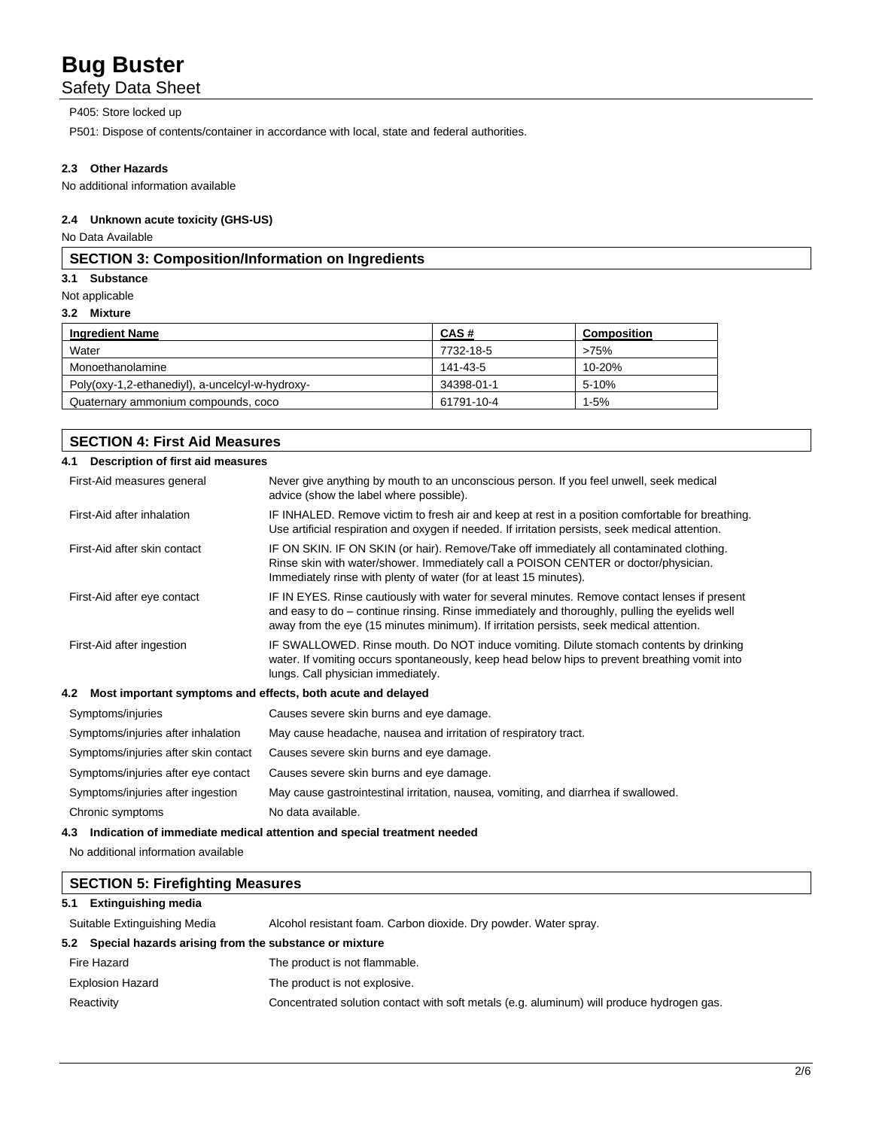# Safety Data Sheet

### P405: Store locked up

P501: Dispose of contents/container in accordance with local, state and federal authorities.

#### **2.3 Other Hazards**

No additional information available

#### **2.4 Unknown acute toxicity (GHS-US)**

**SECTION 4: First Aid Measures**

No Data Available

## **SECTION 3: Composition/Information on Ingredients**

#### **3.1 Substance**

Not applicable

#### **3.2 Mixture**

| <b>Ingredient Name</b>                          | CAS#       | <b>Composition</b> |
|-------------------------------------------------|------------|--------------------|
| Water                                           | 7732-18-5  | >75%               |
| Monoethanolamine                                | 141-43-5   | 10-20%             |
| Poly(oxy-1,2-ethanediyl), a-uncelcyl-w-hydroxy- | 34398-01-1 | 5-10%              |
| Quaternary ammonium compounds, coco             | 61791-10-4 | 1-5%               |

# **4.1 Description of first aid measures** First-Aid measures general Never give anything by mouth to an unconscious person. If you feel unwell, seek medical advice (show the label where possible). First-Aid after inhalation IF INHALED. Remove victim to fresh air and keep at rest in a position comfortable for breathing. Use artificial respiration and oxygen if needed. If irritation persists, seek medical attention. First-Aid after skin contact IF ON SKIN. IF ON SKIN (or hair). Remove/Take off immediately all contaminated clothing. Rinse skin with water/shower. Immediately call a POISON CENTER or doctor/physician. Immediately rinse with plenty of water (for at least 15 minutes). First-Aid after eye contact IF IN EYES. Rinse cautiously with water for several minutes. Remove contact lenses if present and easy to do – continue rinsing. Rinse immediately and thoroughly, pulling the eyelids well away from the eye (15 minutes minimum). If irritation persists, seek medical attention. First-Aid after ingestion IF SWALLOWED. Rinse mouth. Do NOT induce vomiting. Dilute stomach contents by drinking water. If vomiting occurs spontaneously, keep head below hips to prevent breathing vomit into lungs. Call physician immediately.

#### **4.2 Most important symptoms and effects, both acute and delayed**

| Symptoms/injuries                    | Causes severe skin burns and eye damage.                                            |
|--------------------------------------|-------------------------------------------------------------------------------------|
| Symptoms/injuries after inhalation   | May cause headache, nausea and irritation of respiratory tract.                     |
| Symptoms/injuries after skin contact | Causes severe skin burns and eye damage.                                            |
| Symptoms/injuries after eye contact  | Causes severe skin burns and eye damage.                                            |
| Symptoms/injuries after ingestion    | May cause gastrointestinal irritation, nausea, vomiting, and diarrhea if swallowed. |
| Chronic symptoms                     | No data available.                                                                  |

### **4.3 Indication of immediate medical attention and special treatment needed**

No additional information available

|     | <b>SECTION 5: Firefighting Measures</b>                   |                                                                                           |  |
|-----|-----------------------------------------------------------|-------------------------------------------------------------------------------------------|--|
| 5.1 | <b>Extinguishing media</b>                                |                                                                                           |  |
|     | Suitable Extinguishing Media                              | Alcohol resistant foam. Carbon dioxide. Dry powder. Water spray.                          |  |
|     | 5.2 Special hazards arising from the substance or mixture |                                                                                           |  |
|     | Fire Hazard                                               | The product is not flammable.                                                             |  |
|     | <b>Explosion Hazard</b>                                   | The product is not explosive.                                                             |  |
|     | Reactivity                                                | Concentrated solution contact with soft metals (e.g. aluminum) will produce hydrogen gas. |  |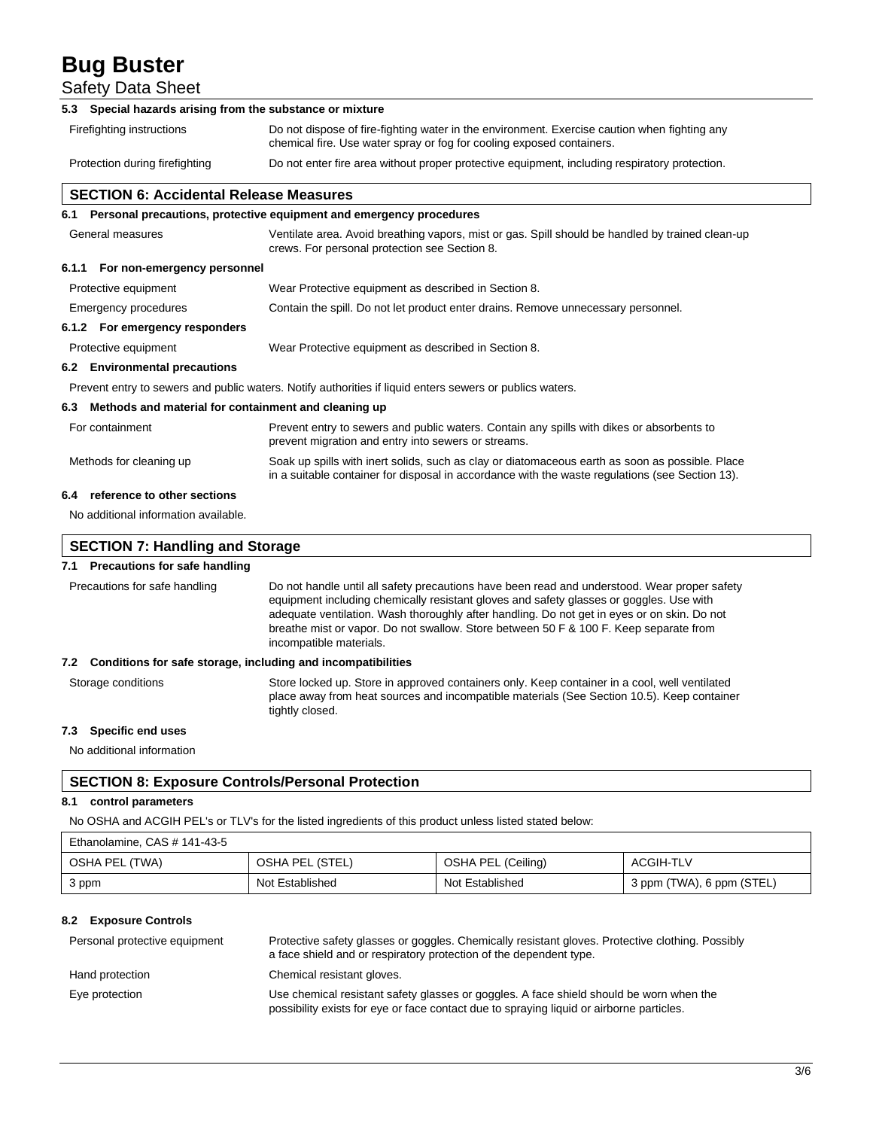Safety Data Sheet

| Special hazards arising from the substance or mixture<br>5.3 |                                                                                                                                                                                                    |
|--------------------------------------------------------------|----------------------------------------------------------------------------------------------------------------------------------------------------------------------------------------------------|
| Firefighting instructions                                    | Do not dispose of fire-fighting water in the environment. Exercise caution when fighting any<br>chemical fire. Use water spray or fog for cooling exposed containers.                              |
| Protection during firefighting                               | Do not enter fire area without proper protective equipment, including respiratory protection.                                                                                                      |
| <b>SECTION 6: Accidental Release Measures</b>                |                                                                                                                                                                                                    |
|                                                              | 6.1 Personal precautions, protective equipment and emergency procedures                                                                                                                            |
| General measures                                             | Ventilate area. Avoid breathing vapors, mist or gas. Spill should be handled by trained clean-up<br>crews. For personal protection see Section 8.                                                  |
| 6.1.1 For non-emergency personnel                            |                                                                                                                                                                                                    |
| Protective equipment                                         | Wear Protective equipment as described in Section 8.                                                                                                                                               |
| Emergency procedures                                         | Contain the spill. Do not let product enter drains. Remove unnecessary personnel.                                                                                                                  |
| 6.1.2 For emergency responders                               |                                                                                                                                                                                                    |
| Protective equipment                                         | Wear Protective equipment as described in Section 8.                                                                                                                                               |
| <b>Environmental precautions</b><br>6.2                      |                                                                                                                                                                                                    |
|                                                              | Prevent entry to sewers and public waters. Notify authorities if liquid enters sewers or publics waters.                                                                                           |
| 6.3                                                          | Methods and material for containment and cleaning up                                                                                                                                               |
| For containment                                              | Prevent entry to sewers and public waters. Contain any spills with dikes or absorbents to<br>prevent migration and entry into sewers or streams.                                                   |
| Methods for cleaning up                                      | Soak up spills with inert solids, such as clay or diatomaceous earth as soon as possible. Place<br>in a suitable container for disposal in accordance with the waste regulations (see Section 13). |
| reference to other sections<br>6.4                           |                                                                                                                                                                                                    |
| No additional information available.                         |                                                                                                                                                                                                    |
|                                                              |                                                                                                                                                                                                    |
| <b>SECTION 7: Handling and Storage</b>                       |                                                                                                                                                                                                    |

#### **7.1 Precautions for safe handling**

| Precautions for safe handling                                       | Do not handle until all safety precautions have been read and understood. Wear proper safety<br>equipment including chemically resistant gloves and safety glasses or goggles. Use with<br>adequate ventilation. Wash thoroughly after handling. Do not get in eyes or on skin. Do not<br>breathe mist or vapor. Do not swallow. Store between 50 F & 100 F. Keep separate from<br>incompatible materials. |  |
|---------------------------------------------------------------------|------------------------------------------------------------------------------------------------------------------------------------------------------------------------------------------------------------------------------------------------------------------------------------------------------------------------------------------------------------------------------------------------------------|--|
| Conditions for safe storage, including and incompatibilities<br>7.2 |                                                                                                                                                                                                                                                                                                                                                                                                            |  |
| Storage conditions                                                  | Store locked up. Store in approved containers only. Keep container in a cool, well ventilated<br>place away from heat sources and incompatible materials (See Section 10.5). Keep container<br>tightly closed.                                                                                                                                                                                             |  |

# **7.3 Specific end uses**

No additional information

# **SECTION 8: Exposure Controls/Personal Protection**

# **8.1 control parameters**

No OSHA and ACGIH PEL's or TLV's for the listed ingredients of this product unless listed stated below:

# Ethanolamine, CAS # 141-43-5

| OSHA PEL (TWA) | OSHA PEL (STEL) | OSHA PEL (Ceiling) | ACGIH-TLV                 |
|----------------|-----------------|--------------------|---------------------------|
| 3 ppm          | Not Established | Not Established    | 3 ppm (TWA), 6 ppm (STEL) |

#### **8.2 Exposure Controls**

| Personal protective equipment | Protective safety glasses or goggles. Chemically resistant gloves. Protective clothing. Possibly<br>a face shield and or respiratory protection of the dependent type.              |
|-------------------------------|-------------------------------------------------------------------------------------------------------------------------------------------------------------------------------------|
| Hand protection               | Chemical resistant gloves.                                                                                                                                                          |
| Eye protection                | Use chemical resistant safety glasses or goggles. A face shield should be worn when the<br>possibility exists for eye or face contact due to spraying liquid or airborne particles. |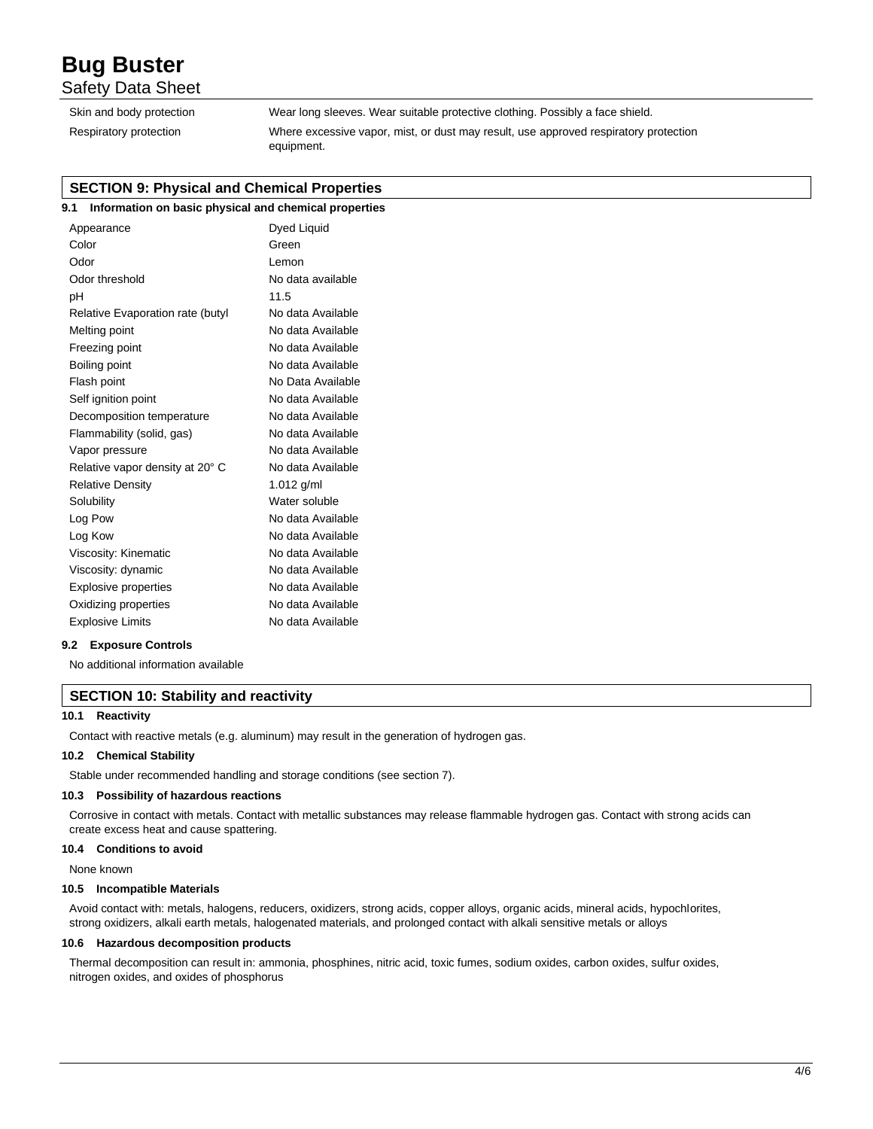# Safety Data Sheet

| Skin and body protection |
|--------------------------|
| Respiratory protection   |

Wear long sleeves. Wear suitable protective clothing. Possibly a face shield. Where excessive vapor, mist, or dust may result, use approved respiratory protection equipment.

# **SECTION 9: Physical and Chemical Properties**

# **9.1 Information on basic physical and chemical properties**

| Appearance                       | Dyed Liquid       |
|----------------------------------|-------------------|
| Color                            | Green             |
| Odor                             | I emon            |
| Odor threshold                   | No data available |
| рH                               | 11.5              |
| Relative Evaporation rate (butyl | No data Available |
| Melting point                    | No data Available |
| Freezing point                   | No data Available |
| Boiling point                    | No data Available |
| Flash point                      | No Data Available |
| Self ignition point              | No data Available |
| Decomposition temperature        | No data Available |
| Flammability (solid, gas)        | No data Available |
| Vapor pressure                   | No data Available |
| Relative vapor density at 20° C  | No data Available |
| <b>Relative Density</b>          | 1.012 $g/ml$      |
| Solubility                       | Water soluble     |
| Log Pow                          | No data Available |
| Log Kow                          | No data Available |
| Viscosity: Kinematic             | No data Available |
| Viscosity: dynamic               | No data Available |
| <b>Explosive properties</b>      | No data Available |
| Oxidizing properties             | No data Available |
| <b>Explosive Limits</b>          | No data Available |
|                                  |                   |

#### **9.2 Exposure Controls**

No additional information available

# **SECTION 10: Stability and reactivity**

#### **10.1 Reactivity**

Contact with reactive metals (e.g. aluminum) may result in the generation of hydrogen gas.

#### **10.2 Chemical Stability**

Stable under recommended handling and storage conditions (see section 7).

#### **10.3 Possibility of hazardous reactions**

Corrosive in contact with metals. Contact with metallic substances may release flammable hydrogen gas. Contact with strong acids can create excess heat and cause spattering.

#### **10.4 Conditions to avoid**

None known

#### **10.5 Incompatible Materials**

Avoid contact with: metals, halogens, reducers, oxidizers, strong acids, copper alloys, organic acids, mineral acids, hypochlorites, strong oxidizers, alkali earth metals, halogenated materials, and prolonged contact with alkali sensitive metals or alloys

#### **10.6 Hazardous decomposition products**

Thermal decomposition can result in: ammonia, phosphines, nitric acid, toxic fumes, sodium oxides, carbon oxides, sulfur oxides, nitrogen oxides, and oxides of phosphorus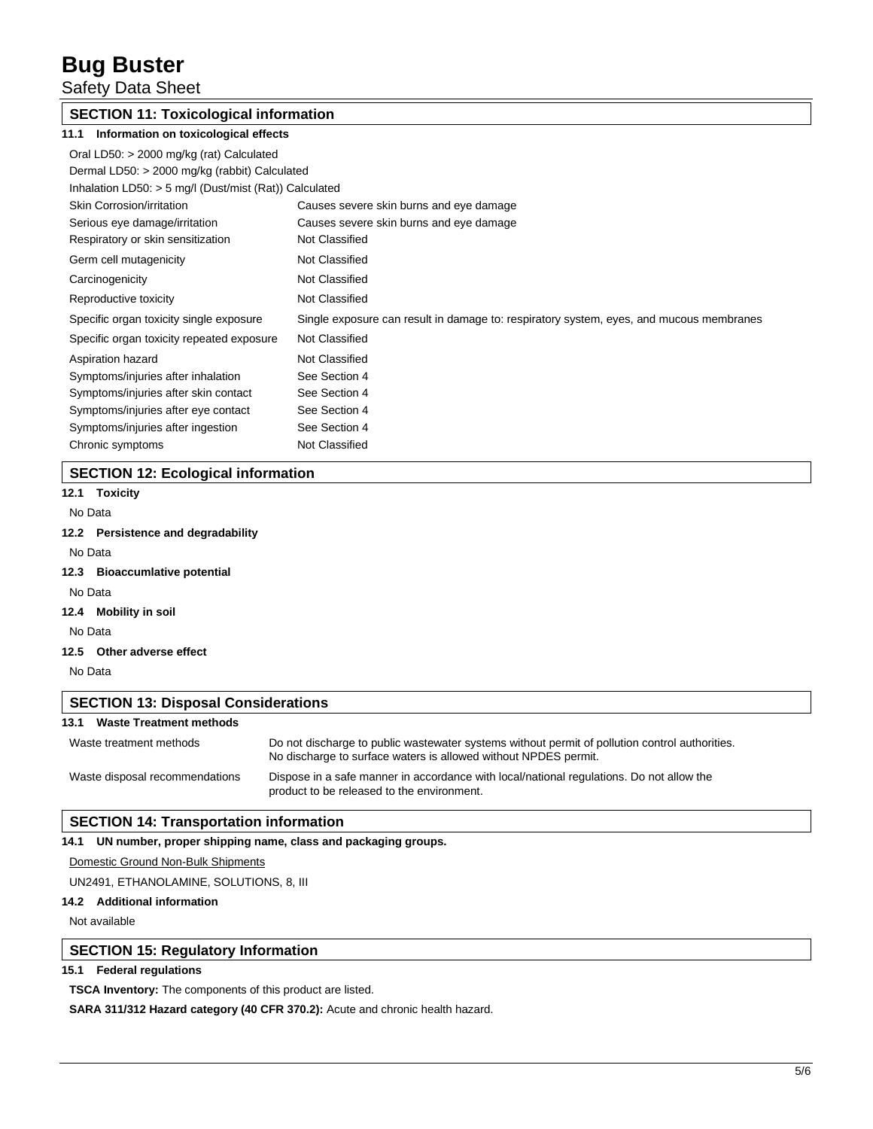Safety Data Sheet

# **SECTION 11: Toxicological information**

| 11.1<br>Information on toxicological effects           |                                                                                         |  |
|--------------------------------------------------------|-----------------------------------------------------------------------------------------|--|
| Oral LD50: > 2000 mg/kg (rat) Calculated               |                                                                                         |  |
| Dermal LD50: > 2000 mg/kg (rabbit) Calculated          |                                                                                         |  |
| Inhalation LD50: > 5 mg/l (Dust/mist (Rat)) Calculated |                                                                                         |  |
| Skin Corrosion/irritation                              | Causes severe skin burns and eye damage                                                 |  |
| Serious eye damage/irritation                          | Causes severe skin burns and eye damage                                                 |  |
| Respiratory or skin sensitization                      | Not Classified                                                                          |  |
| Germ cell mutagenicity                                 | Not Classified                                                                          |  |
| Carcinogenicity                                        | Not Classified                                                                          |  |
| Reproductive toxicity                                  | Not Classified                                                                          |  |
| Specific organ toxicity single exposure                | Single exposure can result in damage to: respiratory system, eyes, and mucous membranes |  |
| Specific organ toxicity repeated exposure              | Not Classified                                                                          |  |
| Aspiration hazard                                      | Not Classified                                                                          |  |
| Symptoms/injuries after inhalation                     | See Section 4                                                                           |  |
| Symptoms/injuries after skin contact                   | See Section 4                                                                           |  |
| Symptoms/injuries after eye contact                    | See Section 4                                                                           |  |
| Symptoms/injuries after ingestion                      | See Section 4                                                                           |  |
| Chronic symptoms                                       | Not Classified                                                                          |  |

# **SECTION 12: Ecological information**

# **12.1 Toxicity**

No Data

## **12.2 Persistence and degradability**

No Data

- **12.3 Bioaccumlative potential**
- No Data
- **12.4 Mobility in soil**

No Data

**12.5 Other adverse effect**

No Data

# **SECTION 13: Disposal Considerations 13.1 Waste Treatment methods** Waste treatment methods Do not discharge to public wastewater systems without permit of pollution control authorities. No discharge to surface waters is allowed without NPDES permit. Waste disposal recommendations Dispose in a safe manner in accordance with local/national regulations. Do not allow the product to be released to the environment.

# **SECTION 14: Transportation information**

## **14.1 UN number, proper shipping name, class and packaging groups.**

Domestic Ground Non-Bulk Shipments

UN2491, ETHANOLAMINE, SOLUTIONS, 8, III

# **14.2 Additional information**

Not available

# **SECTION 15: Regulatory Information**

### **15.1 Federal regulations**

**TSCA Inventory:** The components of this product are listed.

**SARA 311/312 Hazard category (40 CFR 370.2):** Acute and chronic health hazard.